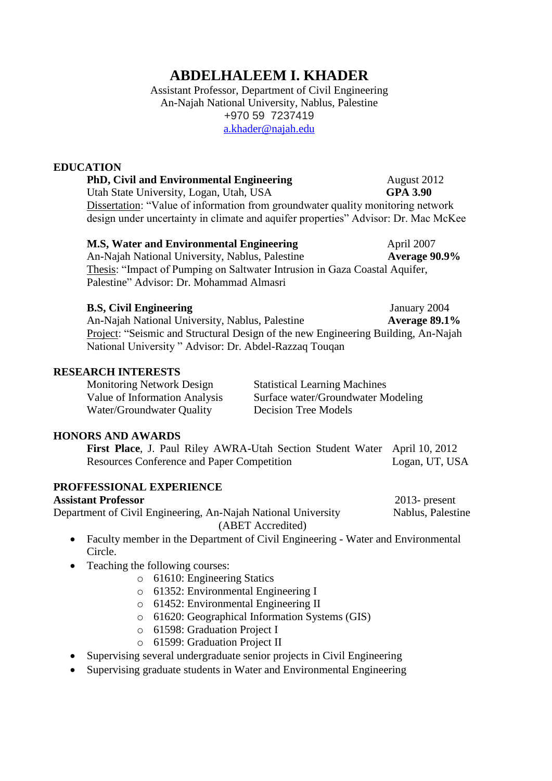# **ABDELHALEEM I. KHADER**

Assistant Professor, Department of Civil Engineering An-Najah National University, Nablus, Palestine +970 59 7237419 [a.khader@najah.edu](mailto:abdelhaleem.khader@aggiemail.usu.edu)

#### **EDUCATION**

**PhD, Civil and Environmental Engineering August 2012** Utah State University, Logan, Utah, USA **GPA 3.90** Dissertation: "Value of information from groundwater quality monitoring network design under uncertainty in climate and aquifer properties" Advisor: Dr. Mac McKee

| <b>M.S. Water and Environmental Engineering</b>                            | April 2007    |
|----------------------------------------------------------------------------|---------------|
| An-Najah National University, Nablus, Palestine                            | Average 90.9% |
| Thesis: "Impact of Pumping on Saltwater Intrusion in Gaza Coastal Aquifer, |               |
| Palestine" Advisor: Dr. Mohammad Almasri                                   |               |

| <b>B.S.</b> Civil Engineering                                                     | January 2004     |
|-----------------------------------------------------------------------------------|------------------|
| An-Najah National University, Nablus, Palestine                                   | Average $89.1\%$ |
| Project: "Seismic and Structural Design of the new Engineering Building, An-Najah |                  |
| National University" Advisor: Dr. Abdel-Razzaq Touqan                             |                  |

#### **RESEARCH INTERESTS**

Monitoring Network Design Statistical Learning Machines Value of Information Analysis Surface water/Groundwater Modeling Water/Groundwater Quality Decision Tree Models

# **HONORS AND AWARDS**

**First Place**, J. Paul Riley AWRA-Utah Section Student Water April 10, 2012 Resources Conference and Paper Competition Logan, UT, USA

## **PROFFESSIONAL EXPERIENCE**

#### **Assistant Professor** 2013- present

Department of Civil Engineering, An-Najah National University Nablus, Palestine (ABET Accredited)

- Faculty member in the Department of Civil Engineering Water and Environmental Circle.
- Teaching the following courses:
	- o 61610: Engineering Statics
	- o 61352: Environmental Engineering I
	- o 61452: Environmental Engineering II
	- o 61620: Geographical Information Systems (GIS)
	- o 61598: Graduation Project I
	- o 61599: Graduation Project II
- Supervising several undergraduate senior projects in Civil Engineering
- Supervising graduate students in Water and Environmental Engineering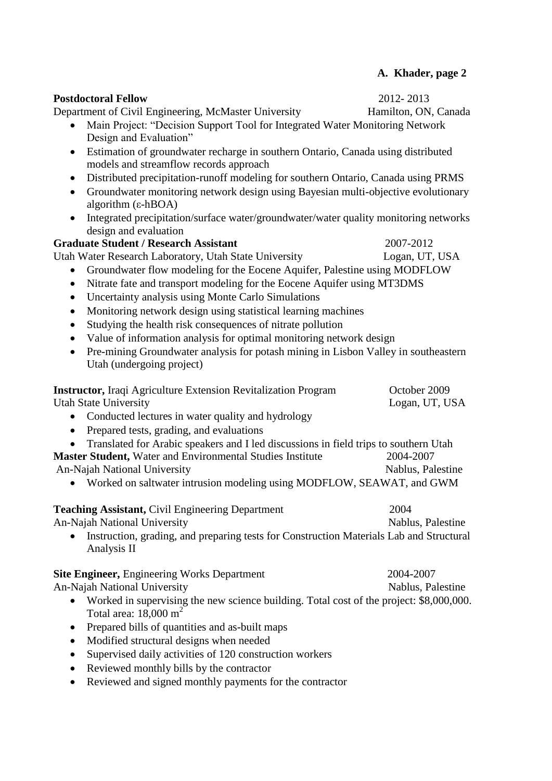| <b>Postdoctoral Fellow</b>                                                                                                               | 2012-2013                      |  |  |
|------------------------------------------------------------------------------------------------------------------------------------------|--------------------------------|--|--|
| Department of Civil Engineering, McMaster University                                                                                     | Hamilton, ON, Canada           |  |  |
| Main Project: "Decision Support Tool for Integrated Water Monitoring Network<br>Design and Evaluation"                                   |                                |  |  |
| Estimation of groundwater recharge in southern Ontario, Canada using distributed<br>$\bullet$                                            |                                |  |  |
| models and streamflow records approach                                                                                                   |                                |  |  |
| Distributed precipitation-runoff modeling for southern Ontario, Canada using PRMS<br>$\bullet$                                           |                                |  |  |
| Groundwater monitoring network design using Bayesian multi-objective evolutionary<br>$\bullet$<br>algorithm $(\epsilon$ -hBOA)           |                                |  |  |
| Integrated precipitation/surface water/groundwater/water quality monitoring networks<br>design and evaluation                            |                                |  |  |
| <b>Graduate Student / Research Assistant</b>                                                                                             | 2007-2012                      |  |  |
| Utah Water Research Laboratory, Utah State University                                                                                    | Logan, UT, USA                 |  |  |
| Groundwater flow modeling for the Eocene Aquifer, Palestine using MODFLOW<br>$\bullet$                                                   |                                |  |  |
| Nitrate fate and transport modeling for the Eocene Aquifer using MT3DMS<br>$\bullet$                                                     |                                |  |  |
| Uncertainty analysis using Monte Carlo Simulations<br>$\bullet$                                                                          |                                |  |  |
| Monitoring network design using statistical learning machines<br>$\bullet$                                                               |                                |  |  |
| Studying the health risk consequences of nitrate pollution<br>$\bullet$                                                                  |                                |  |  |
| Value of information analysis for optimal monitoring network design<br>$\bullet$                                                         |                                |  |  |
| Pre-mining Groundwater analysis for potash mining in Lisbon Valley in southeastern<br>$\bullet$                                          |                                |  |  |
| Utah (undergoing project)                                                                                                                |                                |  |  |
| <b>Instructor, Iraqi Agriculture Extension Revitalization Program</b><br><b>Utah State University</b>                                    | October 2009<br>Logan, UT, USA |  |  |
| Conducted lectures in water quality and hydrology                                                                                        |                                |  |  |
| Prepared tests, grading, and evaluations<br>$\bullet$                                                                                    |                                |  |  |
| Translated for Arabic speakers and I led discussions in field trips to southern Utah                                                     |                                |  |  |
| Master Student, Water and Environmental Studies Institute                                                                                | 2004-2007                      |  |  |
| An-Najah National University                                                                                                             | Nablus, Palestine              |  |  |
| Worked on saltwater intrusion modeling using MODFLOW, SEAWAT, and GWM                                                                    |                                |  |  |
| <b>Teaching Assistant, Civil Engineering Department</b>                                                                                  | 2004                           |  |  |
| An-Najah National University                                                                                                             | Nablus, Palestine              |  |  |
| Instruction, grading, and preparing tests for Construction Materials Lab and Structural<br>Analysis II                                   |                                |  |  |
| Site Engineer, Engineering Works Department                                                                                              | 2004-2007                      |  |  |
| An-Najah National University                                                                                                             | Nablus, Palestine              |  |  |
| Worked in supervising the new science building. Total cost of the project: \$8,000,000.<br>$\bullet$<br>Total area: $18,000 \text{ m}^2$ |                                |  |  |
| Prepared bills of quantities and as-built maps                                                                                           |                                |  |  |
| Modified structural designs when needed                                                                                                  |                                |  |  |
| Supervised daily activities of 120 construction workers                                                                                  |                                |  |  |
| Reviewed monthly bills by the contractor<br>$\bullet$                                                                                    |                                |  |  |
| Reviewed and signed monthly payments for the contractor                                                                                  |                                |  |  |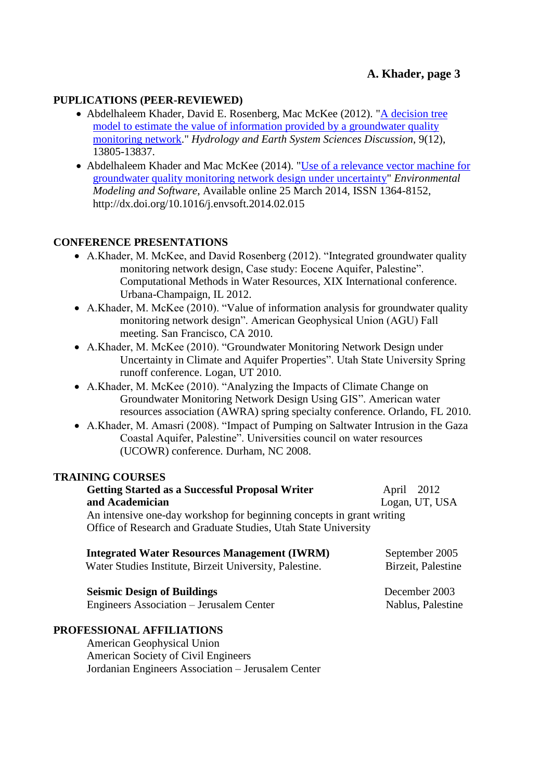## **PUPLICATIONS (PEER-REVIEWED)**

- Abdelhaleem Khader, David E. Rosenberg, Mac McKee (2012). ["A decision tree](http://www.hydrol-earth-syst-sci-discuss.net/9/13805/2012/)  [model to estimate the value of information provided by a groundwater quality](http://www.hydrol-earth-syst-sci-discuss.net/9/13805/2012/)  [monitoring network.](http://www.hydrol-earth-syst-sci-discuss.net/9/13805/2012/)" *Hydrology and Earth System Sciences Discussion*, 9(12), 13805-13837.
- Abdelhaleem Khader and Mac McKee (2014). ["Use of a relevance vector machine for](http://www.sciencedirect.com/science/article/pii/S1364815214000668)  [groundwater quality monitoring network design under uncertainty"](http://www.sciencedirect.com/science/article/pii/S1364815214000668) *Environmental Modeling and Software*, Available online 25 March 2014, ISSN 1364-8152, http://dx.doi.org/10.1016/j.envsoft.2014.02.015

## **CONFERENCE PRESENTATIONS**

- A.Khader, M. McKee, and David Rosenberg (2012). "Integrated groundwater quality monitoring network design, Case study: Eocene Aquifer, Palestine". Computational Methods in Water Resources, XIX International conference. Urbana-Champaign, IL 2012.
- A.Khader, M. McKee (2010). "Value of information analysis for groundwater quality monitoring network design". American Geophysical Union (AGU) Fall meeting. San Francisco, CA 2010.
- A.Khader, M. McKee (2010). "Groundwater Monitoring Network Design under Uncertainty in Climate and Aquifer Properties". Utah State University Spring runoff conference. Logan, UT 2010.
- A.Khader, M. McKee (2010). "Analyzing the Impacts of Climate Change on Groundwater Monitoring Network Design Using GIS". American water resources association (AWRA) spring specialty conference. Orlando, FL 2010.
- A.Khader, M. Amasri (2008). "Impact of Pumping on Saltwater Intrusion in the Gaza Coastal Aquifer, Palestine". Universities council on water resources (UCOWR) conference. Durham, NC 2008.

#### **TRAINING COURSES**

| <b>Getting Started as a Successful Proposal Writer</b>                                                                                  | April 2012     |
|-----------------------------------------------------------------------------------------------------------------------------------------|----------------|
| and Academician                                                                                                                         | Logan, UT, USA |
| An intensive one-day workshop for beginning concepts in grant writing<br>Office of Research and Graduate Studies, Utah State University |                |
| <b>Integrated Water Resources Management (IWRM)</b>                                                                                     | September 2005 |

| Water Studies Institute, Birzeit University, Palestine. | Birzeit, Palestine |  |
|---------------------------------------------------------|--------------------|--|
| <b>Seismic Design of Buildings</b>                      | December 2003      |  |
| Engineers Association – Jerusalem Center                | Nablus, Palestine  |  |

## **PROFESSIONAL AFFILIATIONS**

American Geophysical Union American Society of Civil Engineers Jordanian Engineers Association – Jerusalem Center